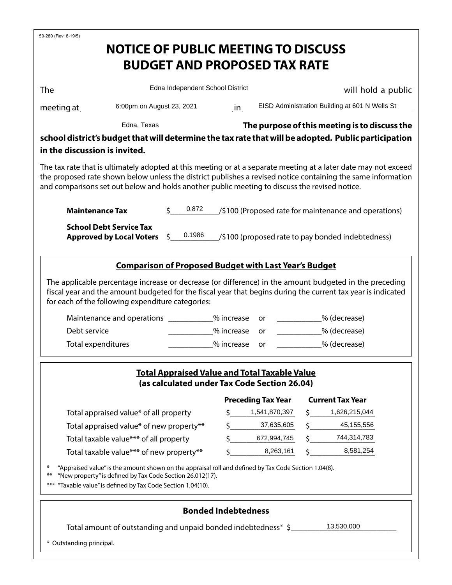| 50-280 (Rev. 8-19/5)                                                                                                                                                                                                                                                                                                             |                                                                   |                                  |                                                                                                                 |                                                                                                                                                                                                                                                                                                                                                          |                                                |                                                                                                                                                                                                                                        |  |  |
|----------------------------------------------------------------------------------------------------------------------------------------------------------------------------------------------------------------------------------------------------------------------------------------------------------------------------------|-------------------------------------------------------------------|----------------------------------|-----------------------------------------------------------------------------------------------------------------|----------------------------------------------------------------------------------------------------------------------------------------------------------------------------------------------------------------------------------------------------------------------------------------------------------------------------------------------------------|------------------------------------------------|----------------------------------------------------------------------------------------------------------------------------------------------------------------------------------------------------------------------------------------|--|--|
|                                                                                                                                                                                                                                                                                                                                  | <b>NOTICE OF PUBLIC MEETING TO DISCUSS</b>                        |                                  |                                                                                                                 |                                                                                                                                                                                                                                                                                                                                                          |                                                |                                                                                                                                                                                                                                        |  |  |
|                                                                                                                                                                                                                                                                                                                                  |                                                                   |                                  |                                                                                                                 | <b>BUDGET AND PROPOSED TAX RATE</b>                                                                                                                                                                                                                                                                                                                      |                                                |                                                                                                                                                                                                                                        |  |  |
|                                                                                                                                                                                                                                                                                                                                  |                                                                   |                                  |                                                                                                                 |                                                                                                                                                                                                                                                                                                                                                          |                                                |                                                                                                                                                                                                                                        |  |  |
| <b>The</b>                                                                                                                                                                                                                                                                                                                       |                                                                   | Edna Independent School District |                                                                                                                 |                                                                                                                                                                                                                                                                                                                                                          | will hold a public                             |                                                                                                                                                                                                                                        |  |  |
| meeting at $\_\_$                                                                                                                                                                                                                                                                                                                | 6:00pm on August 23, 2021                                         |                                  | in and the set of the set of the set of the set of the set of the set of the set of the set of the set of the s |                                                                                                                                                                                                                                                                                                                                                          | EISD Administration Building at 601 N Wells St |                                                                                                                                                                                                                                        |  |  |
|                                                                                                                                                                                                                                                                                                                                  | Edna, Texas                                                       |                                  |                                                                                                                 |                                                                                                                                                                                                                                                                                                                                                          |                                                |                                                                                                                                                                                                                                        |  |  |
| The purpose of this meeting is to discuss the<br>school district's budget that will determine the tax rate that will be adopted. Public participation                                                                                                                                                                            |                                                                   |                                  |                                                                                                                 |                                                                                                                                                                                                                                                                                                                                                          |                                                |                                                                                                                                                                                                                                        |  |  |
| in the discussion is invited.                                                                                                                                                                                                                                                                                                    |                                                                   |                                  |                                                                                                                 |                                                                                                                                                                                                                                                                                                                                                          |                                                |                                                                                                                                                                                                                                        |  |  |
| The tax rate that is ultimately adopted at this meeting or at a separate meeting at a later date may not exceed<br>the proposed rate shown below unless the district publishes a revised notice containing the same information<br>and comparisons set out below and holds another public meeting to discuss the revised notice. |                                                                   |                                  |                                                                                                                 |                                                                                                                                                                                                                                                                                                                                                          |                                                |                                                                                                                                                                                                                                        |  |  |
| <b>Maintenance Tax</b>                                                                                                                                                                                                                                                                                                           |                                                                   | 50.872                           |                                                                                                                 |                                                                                                                                                                                                                                                                                                                                                          |                                                | /\$100 (Proposed rate for maintenance and operations)                                                                                                                                                                                  |  |  |
|                                                                                                                                                                                                                                                                                                                                  | <b>School Debt Service Tax</b><br><b>Approved by Local Voters</b> | 0.1986<br>$\mathsf{S}$           |                                                                                                                 |                                                                                                                                                                                                                                                                                                                                                          |                                                | (\$100 (proposed rate to pay bonded indebtedness)                                                                                                                                                                                      |  |  |
|                                                                                                                                                                                                                                                                                                                                  |                                                                   |                                  |                                                                                                                 | <b>Comparison of Proposed Budget with Last Year's Budget</b>                                                                                                                                                                                                                                                                                             |                                                |                                                                                                                                                                                                                                        |  |  |
| for each of the following expenditure categories:<br>Debt service                                                                                                                                                                                                                                                                | Maintenance and operations ___________% increase                  |                                  | % increase                                                                                                      | or and the original original original in the contention of the contention of the contention of the contention $\alpha$<br>or and the original original original original in the context of the context of the context of the context of the context of the context of the context of the context of the context of the context of the context of the con |                                                | The applicable percentage increase or decrease (or difference) in the amount budgeted in the preceding<br>fiscal year and the amount budgeted for the fiscal year that begins during the current tax year is indicated<br>% (decrease) |  |  |
| Total expenditures                                                                                                                                                                                                                                                                                                               |                                                                   |                                  | % increase                                                                                                      | or                                                                                                                                                                                                                                                                                                                                                       |                                                | % (decrease)                                                                                                                                                                                                                           |  |  |
| <b>Total Appraised Value and Total Taxable Value</b><br>(as calculated under Tax Code Section 26.04)                                                                                                                                                                                                                             |                                                                   |                                  |                                                                                                                 |                                                                                                                                                                                                                                                                                                                                                          |                                                |                                                                                                                                                                                                                                        |  |  |
|                                                                                                                                                                                                                                                                                                                                  |                                                                   |                                  |                                                                                                                 | <b>Preceding Tax Year</b>                                                                                                                                                                                                                                                                                                                                |                                                | <b>Current Tax Year</b>                                                                                                                                                                                                                |  |  |
|                                                                                                                                                                                                                                                                                                                                  |                                                                   |                                  | Ŝ.                                                                                                              | 1,541,870,397                                                                                                                                                                                                                                                                                                                                            |                                                | 1,626,215,044                                                                                                                                                                                                                          |  |  |
| Total appraised value* of all property<br>Total appraised value* of new property**                                                                                                                                                                                                                                               |                                                                   |                                  | \$                                                                                                              | 37,635,605                                                                                                                                                                                                                                                                                                                                               |                                                | 45,155,556                                                                                                                                                                                                                             |  |  |
| Total taxable value*** of all property                                                                                                                                                                                                                                                                                           |                                                                   |                                  | Ś                                                                                                               | 672,994,745                                                                                                                                                                                                                                                                                                                                              |                                                | 744,314,783                                                                                                                                                                                                                            |  |  |
| Total taxable value*** of new property**                                                                                                                                                                                                                                                                                         |                                                                   |                                  |                                                                                                                 | 8,263,161                                                                                                                                                                                                                                                                                                                                                |                                                | 8,581,254                                                                                                                                                                                                                              |  |  |
| "Appraised value" is the amount shown on the appraisal roll and defined by Tax Code Section 1.04(8).<br>$\ast$<br>$***$<br>"New property" is defined by Tax Code Section 26.012(17).<br>*** "Taxable value" is defined by Tax Code Section 1.04(10).                                                                             |                                                                   |                                  |                                                                                                                 |                                                                                                                                                                                                                                                                                                                                                          |                                                |                                                                                                                                                                                                                                        |  |  |
| <b>Bonded Indebtedness</b>                                                                                                                                                                                                                                                                                                       |                                                                   |                                  |                                                                                                                 |                                                                                                                                                                                                                                                                                                                                                          |                                                |                                                                                                                                                                                                                                        |  |  |
| 13,530,000<br>Total amount of outstanding and unpaid bonded indebtedness* \$                                                                                                                                                                                                                                                     |                                                                   |                                  |                                                                                                                 |                                                                                                                                                                                                                                                                                                                                                          |                                                |                                                                                                                                                                                                                                        |  |  |
| * Outstanding principal.                                                                                                                                                                                                                                                                                                         |                                                                   |                                  |                                                                                                                 |                                                                                                                                                                                                                                                                                                                                                          |                                                |                                                                                                                                                                                                                                        |  |  |